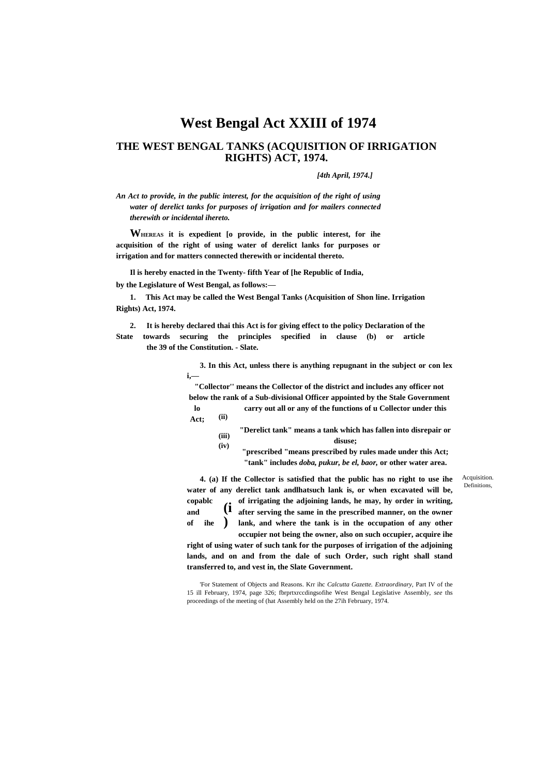# **West Bengal Act XXIII of 1974**

## **THE WEST BENGAL TANKS (ACQUISITION OF IRRIGATION RIGHTS) ACT, 1974.**

## *[4th April, 1974.]*

*An Act to provide, in the public interest, for the acquisition of the right of using water of derelict tanks for purposes of irrigation and for mailers connected therewith or incidental ihereto.*

**WHEREAS it is expedient [o provide, in the public interest, for ihe acquisition of the right of using water of derelict lanks for purposes or irrigation and for matters connected therewith or incidental thereto.**

**Il is hereby enacted in the Twenty- fifth Year of [he Republic of India, by the Legislature of West Bengal, as follows:—**

**1. This Act may be called the West Bengal Tanks (Acquisition of Shon line. Irrigation Rights) Act, 1974.**

**2. It is hereby declared thai this Act is for giving effect to the policy Declaration of the State towards securing the principles specified in clause (b) or article the 39 of the Constitution. - Slate.**

> **3. In this Act, unless there is anything repugnant in the subject or con lex i,—**

**"Collector'' means the Collector of the district and includes any officer not below the rank of a Sub-divisional Officer appointed by the Stale Government lo carry out all or any of the functions of u Collector under this** 

**(ii) Act;**

- **(iii) (iv) "Derelict tank" means a tank which has fallen into disrepair or disuse;**
	- **"prescribed "means prescribed by rules made under this Act; "tank" includes** *doba, pukur, be el, baor,* **or other water area.**

**(i ) 4. (a) If the Collector is satisfied that the public has no right to use ihe water of any derelict tank andlhatsuch lank is, or when excavated will be, copablc of irrigating the adjoining lands, he may, hy order in writing, and after serving the same in the prescribed manner, on the owner**  of ihe ) lank, and where the tank is in the occupation of any other

**occupier not being the owner, also on such occupier, acquire ihe right of using water of such tank for the purposes of irrigation of the adjoining lands, and on and from the dale of such Order, such right shall stand transferred to, and vest in, the Slate Government.**

'For Statement of Objects and Reasons. Krr ihc *Calcutta Gazette. Extraordinary,* Part IV of the 15 ill February, 1974, page 326; fbrprtxrccdingsofihe West Bengal Legislative Assembly, *see* ths proceedings of the meeting of (hat Assembly held on the 27ih February, 1974.

Definitions, Acquisition.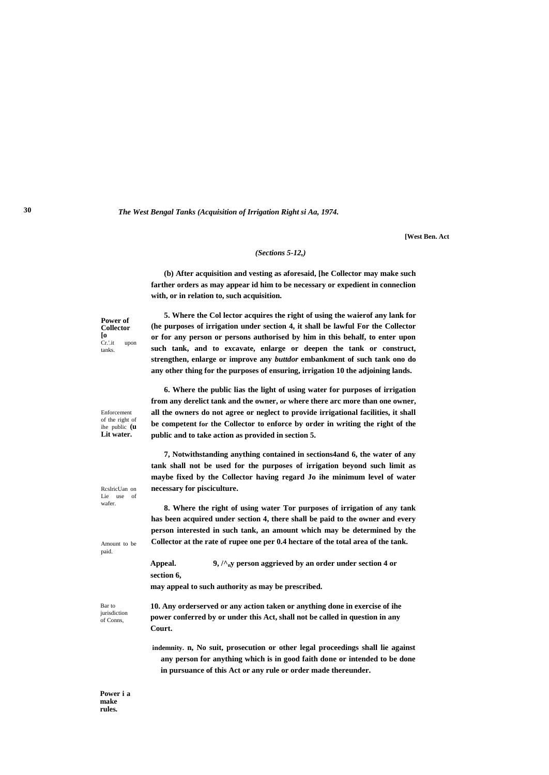*The West Bengal Tanks (Acquisition of Irrigation Right si Aa, 1974.*

**[West Ben. Act**

#### *(Sections 5-12,)*

**(b) After acquisition and vesting as aforesaid, [he Collector may make such farther orders as may appear id him to be necessary or expedient in conneclion with, or in relation to, such acquisition.**

**Power of Collector [o** Cr.'.it upon tanks.

**5. Where the Col lector acquires the right of using the waierof any lank for (he purposes of irrigation under section 4, it shall be lawful For the Collector or for any person or persons authorised by him in this behalf, to enter upon such tank, and to excavate, enlarge or deepen the tank or construct, strengthen, enlarge or improve any** *buttdor* **embankment of such tank ono do any other thing for the purposes of ensuring, irrigation 10 the adjoining lands.**

Enforcement of the right of ihe public **(u Lit water.**

RcslricUan on Lie use of wafer.

Amount to be paid.

**6. Where the public lias the light of using water for purposes of irrigation from any derelict tank and the owner, or where there arc more than one owner, all the owners do not agree or neglect to provide irrigational facilities, it shall be competent for the Collector to enforce by order in writing the right of the public and to take action as provided in section 5.**

**7, Notwithstanding anything contained in sections4and 6, the water of any tank shall not be used for the purposes of irrigation beyond such limit as maybe fixed by the Collector having regard Jo ihe minimum level of water necessary for pisciculture.**

**8. Where the right of using water Tor purposes of irrigation of any tank has been acquired under section 4, there shall be paid to the owner and every person interested in such tank, an amount which may be determined by the Collector at the rate of rupee one per 0.4 hectare of the total area of the tank.**

**Appeal. 9, /^ny person aggrieved by an order under section 4 or section 6,**

**may appeal to such authority as may be prescribed.**

Bar to iurisdiction of Conns,

**10. Any orderserved or any action taken or anything done in exercise of ihe power conferred by or under this Act, shall not be called in question in any Court.**

**indemnity. n, No suit, prosecution or other legal proceedings shall lie against any person for anything which is in good faith done or intended to be done in pursuance of this Act or any rule or order made thereunder.**

**Power i a make rules.**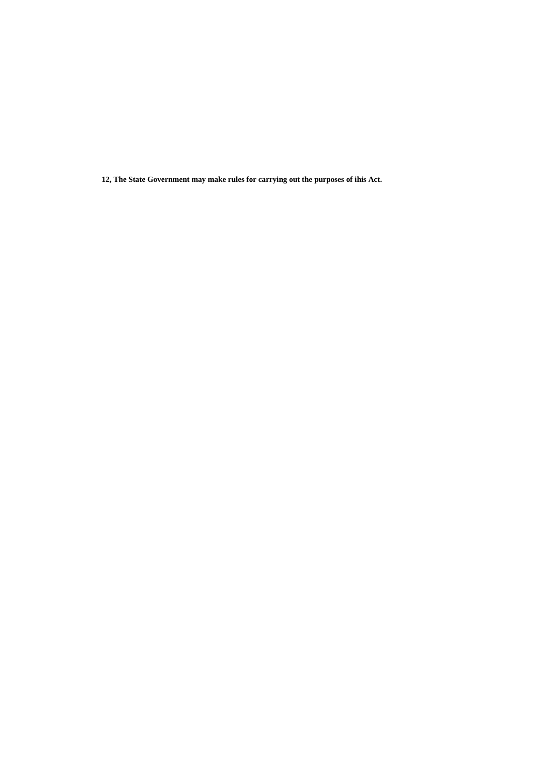**12, The State Government may make rules for carrying out the purposes of ihis Act.**